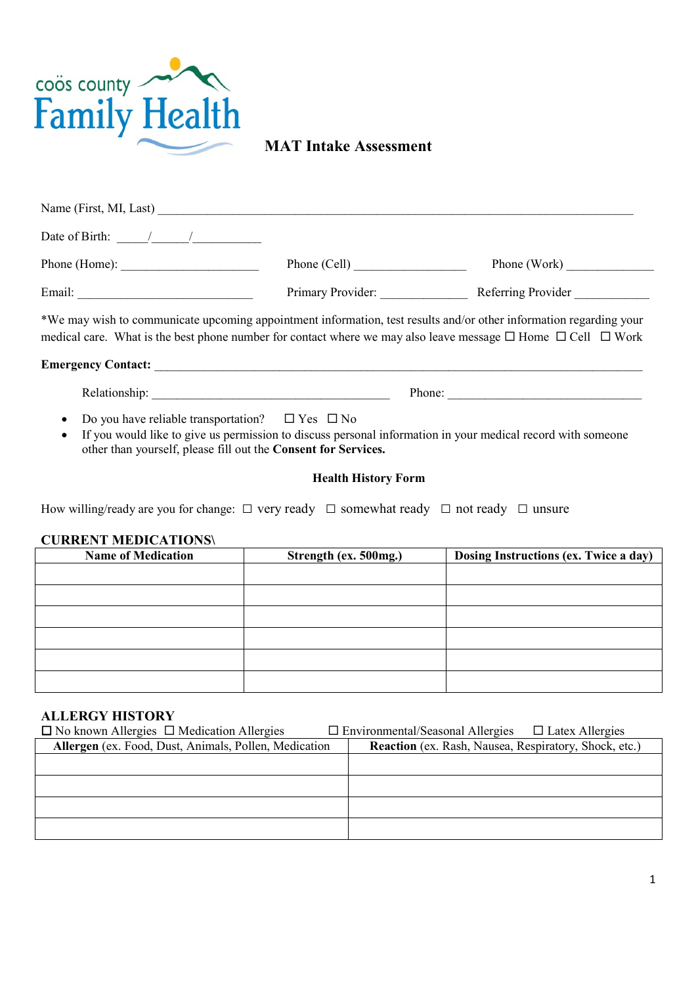

# **MAT Intake Assessment**

| Name (First, MI, Last)                                                                                                                                                                                                                            |                   |                    |
|---------------------------------------------------------------------------------------------------------------------------------------------------------------------------------------------------------------------------------------------------|-------------------|--------------------|
| Date of Birth: $\frac{1}{2}$ /                                                                                                                                                                                                                    |                   |                    |
|                                                                                                                                                                                                                                                   | Phone (Cell)      | Phone (Work)       |
| Email:                                                                                                                                                                                                                                            | Primary Provider: | Referring Provider |
| *We may wish to communicate upcoming appointment information, test results and/or other information regarding your<br>medical care. What is the best phone number for contact where we may also leave message $\Box$ Home $\Box$ Cell $\Box$ Work |                   |                    |
| <b>Emergency Contact:</b>                                                                                                                                                                                                                         |                   |                    |

Relationship: Thone:  $\blacksquare$ 

- Do you have reliable transportation?  $\Box$  Yes  $\Box$  No
- If you would like to give us permission to discuss personal information in your medical record with someone other than yourself, please fill out the **Consent for Services.**

#### **Health History Form**

How willing/ready are you for change:  $\Box$  very ready  $\Box$  somewhat ready  $\Box$  not ready  $\Box$  unsure

#### **CURRENT MEDICATIONS\**

| <b>Name of Medication</b> | Strength (ex. 500mg.) | Dosing Instructions (ex. Twice a day) |
|---------------------------|-----------------------|---------------------------------------|
|                           |                       |                                       |
|                           |                       |                                       |
|                           |                       |                                       |
|                           |                       |                                       |
|                           |                       |                                       |
|                           |                       |                                       |

#### **ALLERGY HISTORY**

| $\Box$ No known Allergies $\Box$ Medication Allergies | $\Box$ Environmental/Seasonal Allergies $\Box$ Latex Allergies |
|-------------------------------------------------------|----------------------------------------------------------------|
| Allergen (ex. Food, Dust, Animals, Pollen, Medication | <b>Reaction</b> (ex. Rash, Nausea, Respiratory, Shock, etc.)   |
|                                                       |                                                                |
|                                                       |                                                                |
|                                                       |                                                                |
|                                                       |                                                                |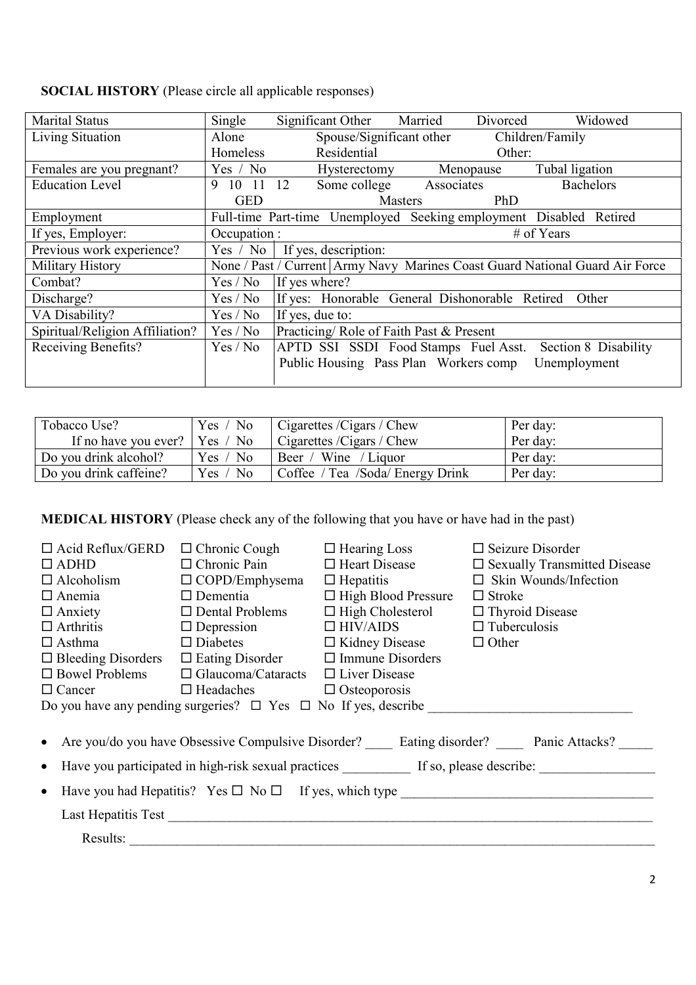| <b>Marital Status</b>           | Single        | Significant Other Married                                          |                          | Divorced   | Widowed                                                                        |
|---------------------------------|---------------|--------------------------------------------------------------------|--------------------------|------------|--------------------------------------------------------------------------------|
| Living Situation                | Alone         |                                                                    | Spouse/Significant other |            | Children/Family                                                                |
|                                 | Homeless      | Residential                                                        |                          | Other:     |                                                                                |
| Females are you pregnant?       | Yes / No      | Hysterectomy                                                       |                          | Menopause  | Tubal ligation                                                                 |
| <b>Education Level</b>          | 10 11 12<br>9 | Some college                                                       | Associates               |            | <b>Bachelors</b>                                                               |
|                                 | <b>GED</b>    |                                                                    | <b>Masters</b>           | <b>PhD</b> |                                                                                |
| Employment                      |               | Full-time Part-time Unemployed Seeking employment Disabled Retired |                          |            |                                                                                |
| If yes, Employer:               | Occupation :  |                                                                    |                          |            | # of Years                                                                     |
| Previous work experience?       | Yes / No      | If yes, description:                                               |                          |            |                                                                                |
| Military History                |               |                                                                    |                          |            | None / Past / Current   Army Navy Marines Coast Guard National Guard Air Force |
| Combat?                         | Yes / No      | If yes where?                                                      |                          |            |                                                                                |
| Discharge?                      | Yes / No      | If yes: Honorable General Dishonorable Retired                     |                          |            | Other                                                                          |
| VA Disability?                  | Yes / No      | If yes, due to:                                                    |                          |            |                                                                                |
| Spiritual/Religion Affiliation? | Yes / No      | Practicing/Role of Faith Past & Present                            |                          |            |                                                                                |
| Receiving Benefits?             | Yes / No      | APTD SSI SSDI Food Stamps Fuel Asst.                               |                          |            | Section 8 Disability                                                           |
|                                 |               | Public Housing Pass Plan Workers comp                              |                          |            | Unemployment                                                                   |
|                                 |               |                                                                    |                          |            |                                                                                |

| <b>SOCIAL HISTORY</b> (Please circle all applicable responses) |  |  |  |
|----------------------------------------------------------------|--|--|--|
|----------------------------------------------------------------|--|--|--|

| Tobacco Use?                          | Yes / No | Cigarettes /Cigars / Chew        | Per day: |
|---------------------------------------|----------|----------------------------------|----------|
| If no have you ever? $\vert$ Yes / No |          | Cigarettes /Cigars / Chew        | Per day: |
| Do you drink alcohol?                 | Yes / No | Beer / Wine / Liquor             | Per day: |
| Do you drink caffeine?                | Yes / No | Coffee / Tea /Soda/ Energy Drink | Per day: |

**MEDICAL HISTORY** (Please check any of the following that you have or have had in the past)

| $\Box$ Acid Reflux/GERD   | $\Box$ Chronic Cough                                                 | $\Box$ Hearing Loss                                | $\Box$ Seizure Disorder                                                                                |  |
|---------------------------|----------------------------------------------------------------------|----------------------------------------------------|--------------------------------------------------------------------------------------------------------|--|
| $\Box$ ADHD               | $\Box$ Chronic Pain                                                  | $\Box$ Heart Disease                               | $\square$ Sexually Transmitted Disease                                                                 |  |
| $\Box$ Alcoholism         | $\Box$ COPD/Emphysema                                                | $\Box$ Hepatitis                                   | $\Box$ Skin Wounds/Infection                                                                           |  |
| $\Box$ Anemia             | $\Box$ Dementia                                                      | $\Box$ High Blood Pressure                         | $\Box$ Stroke                                                                                          |  |
| $\Box$ Anxiety            | $\Box$ Dental Problems                                               | $\Box$ High Cholesterol                            | $\Box$ Thyroid Disease                                                                                 |  |
| $\Box$ Arthritis          |                                                                      | $\square$ Depression $\square$ HIV/AIDS            | $\Box$ Tuberculosis                                                                                    |  |
| $\Box$ Asthma             |                                                                      | $\Box$ Diabetes $\Box$ Kidney Disease $\Box$ Other |                                                                                                        |  |
| $\Box$ Bleeding Disorders | $\Box$ Eating Disorder $\Box$ Immune Disorders                       |                                                    |                                                                                                        |  |
|                           | $\Box$ Bowel Problems $\Box$ Glaucoma/Cataracts $\Box$ Liver Disease |                                                    |                                                                                                        |  |
| $\Box$ Cancer             | $\Box$ Headaches $\Box$ Osteoporosis                                 |                                                    |                                                                                                        |  |
|                           |                                                                      |                                                    | Do you have any pending surgeries? $\Box$ Yes $\Box$ No If yes, describe                               |  |
|                           |                                                                      |                                                    | • Are you/do you have Obsessive Compulsive Disorder? _____ Eating disorder? _____ Panic Attacks? _____ |  |
|                           |                                                                      |                                                    |                                                                                                        |  |
| $\bullet$                 |                                                                      |                                                    |                                                                                                        |  |
| $\bullet$                 |                                                                      |                                                    | Have you had Hepatitis? Yes $\square$ No $\square$ If yes, which type                                  |  |
|                           |                                                                      |                                                    |                                                                                                        |  |
|                           | Results:                                                             |                                                    |                                                                                                        |  |
|                           |                                                                      |                                                    |                                                                                                        |  |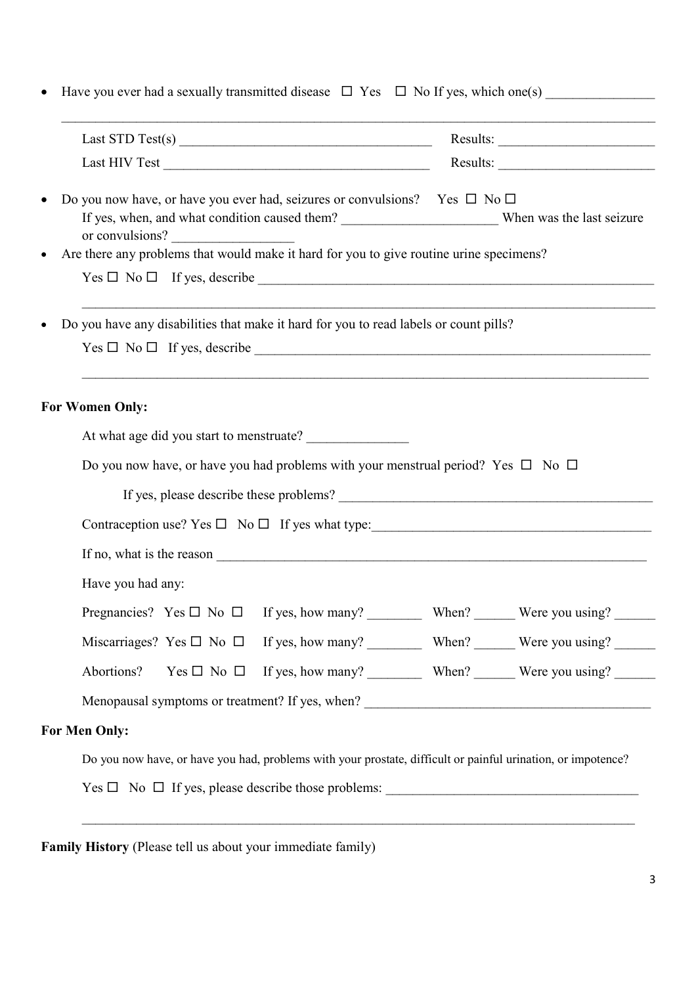| Last STD Test(s) $\frac{1}{2}$                                                                                                                                             | $Results: \begin{tabular}{ c c c c } \hline \quad \quad & \quad \quad & \quad \quad \\ \hline \end{tabular}$                                                                                                                                                                                                                                                                                                                                                                                                                     |
|----------------------------------------------------------------------------------------------------------------------------------------------------------------------------|----------------------------------------------------------------------------------------------------------------------------------------------------------------------------------------------------------------------------------------------------------------------------------------------------------------------------------------------------------------------------------------------------------------------------------------------------------------------------------------------------------------------------------|
|                                                                                                                                                                            | $Results: \begin{tabular}{ c c c } \hline \multicolumn{3}{ c }{\textbf{Results:}} \quad \quad & \multicolumn{3}{ c }{\textbf{Results:}} \quad \quad & \multicolumn{3}{ c }{\textbf{Results:}} \quad \quad & \multicolumn{3}{ c }{\textbf{Results:}} \quad \quad & \multicolumn{3}{ c }{\textbf{Results:}} \quad \quad & \multicolumn{3}{ c }{\textbf{Results:}} \quad \quad & \multicolumn{3}{ c }{\textbf{Results:}} \quad \quad & \multicolumn{3}{ c }{\textbf{Results:}} \quad \quad & \multicolumn{3}{ c }{\textbf{Results:$ |
| Do you now have, or have you ever had, seizures or convulsions? Yes $\Box$ No $\Box$<br>or convulsions?                                                                    |                                                                                                                                                                                                                                                                                                                                                                                                                                                                                                                                  |
| Are there any problems that would make it hard for you to give routine urine specimens?                                                                                    |                                                                                                                                                                                                                                                                                                                                                                                                                                                                                                                                  |
| $Yes \Box No \Box If yes, describe \_$                                                                                                                                     |                                                                                                                                                                                                                                                                                                                                                                                                                                                                                                                                  |
| ,我们也不能在这里的人,我们也不能在这里的人,我们也不能在这里的人,我们也不能在这里的人,我们也不能在这里的人,我们也不能在这里的人,我们也不能在这里的人,我们也<br>Do you have any disabilities that make it hard for you to read labels or count pills? |                                                                                                                                                                                                                                                                                                                                                                                                                                                                                                                                  |
| $Yes \Box No \Box If yes, describe \_$                                                                                                                                     |                                                                                                                                                                                                                                                                                                                                                                                                                                                                                                                                  |
|                                                                                                                                                                            |                                                                                                                                                                                                                                                                                                                                                                                                                                                                                                                                  |
| <b>For Women Only:</b>                                                                                                                                                     |                                                                                                                                                                                                                                                                                                                                                                                                                                                                                                                                  |
| At what age did you start to menstruate?                                                                                                                                   |                                                                                                                                                                                                                                                                                                                                                                                                                                                                                                                                  |
| Do you now have, or have you had problems with your menstrual period? Yes $\Box$ No $\Box$                                                                                 |                                                                                                                                                                                                                                                                                                                                                                                                                                                                                                                                  |
|                                                                                                                                                                            |                                                                                                                                                                                                                                                                                                                                                                                                                                                                                                                                  |
| Contraception use? Yes $\Box$ No $\Box$ If yes what type:                                                                                                                  |                                                                                                                                                                                                                                                                                                                                                                                                                                                                                                                                  |
|                                                                                                                                                                            |                                                                                                                                                                                                                                                                                                                                                                                                                                                                                                                                  |
|                                                                                                                                                                            |                                                                                                                                                                                                                                                                                                                                                                                                                                                                                                                                  |
| Have you had any:                                                                                                                                                          |                                                                                                                                                                                                                                                                                                                                                                                                                                                                                                                                  |
| Pregnancies? Yes $\Box$ No $\Box$ If yes, how many? When? When? Were you using? ________                                                                                   |                                                                                                                                                                                                                                                                                                                                                                                                                                                                                                                                  |
| Miscarriages? Yes $\Box$ No $\Box$ If yes, how many? When? When? Were you using? ________                                                                                  |                                                                                                                                                                                                                                                                                                                                                                                                                                                                                                                                  |
| Abortions?                                                                                                                                                                 |                                                                                                                                                                                                                                                                                                                                                                                                                                                                                                                                  |
|                                                                                                                                                                            |                                                                                                                                                                                                                                                                                                                                                                                                                                                                                                                                  |
|                                                                                                                                                                            |                                                                                                                                                                                                                                                                                                                                                                                                                                                                                                                                  |
| <b>For Men Only:</b><br>Do you now have, or have you had, problems with your prostate, difficult or painful urination, or impotence?                                       |                                                                                                                                                                                                                                                                                                                                                                                                                                                                                                                                  |

**Family History** (Please tell us about your immediate family)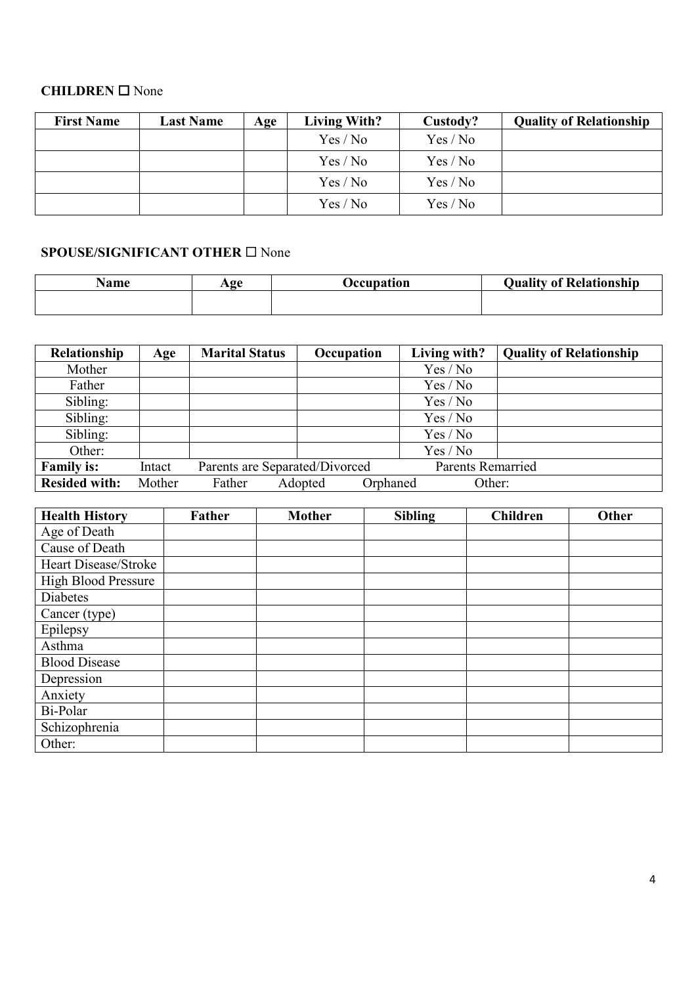## **CHILDREN** None

| <b>First Name</b> | <b>Last Name</b> | Age | <b>Living With?</b> | Custody? | <b>Quality of Relationship</b> |
|-------------------|------------------|-----|---------------------|----------|--------------------------------|
|                   |                  |     | Yes / No            | Yes / No |                                |
|                   |                  |     | Yes / No            | Yes / No |                                |
|                   |                  |     | Yes / No            | Yes / No |                                |
|                   |                  |     | Yes / No            | Yes / No |                                |

# SPOUSE/SIGNIFICANT OTHER  $\square$  None

| Name | $A\Omega$ e | <b>Jecupation</b> | <b>Quality of Relationship</b> |
|------|-------------|-------------------|--------------------------------|
|      |             |                   |                                |
|      |             |                   |                                |

| Relationship         | Age    | <b>Marital Status</b>          | Occupation |          | Living with?             | <b>Quality of Relationship</b> |
|----------------------|--------|--------------------------------|------------|----------|--------------------------|--------------------------------|
| Mother               |        |                                |            |          | Yes / No                 |                                |
| Father               |        |                                |            |          | Yes / No                 |                                |
| Sibling:             |        |                                |            |          | Yes / No                 |                                |
| Sibling:             |        |                                |            |          | Yes / No                 |                                |
| Sibling:             |        |                                |            |          | Yes / No                 |                                |
| Other:               |        |                                |            |          | Yes / No                 |                                |
| <b>Family is:</b>    | Intact | Parents are Separated/Divorced |            |          | <b>Parents Remarried</b> |                                |
| <b>Resided with:</b> | Mother | Father                         | Adopted    | Orphaned | Other:                   |                                |

| <b>Health History</b>      | Father | <b>Mother</b> | <b>Sibling</b> | <b>Children</b> | Other |
|----------------------------|--------|---------------|----------------|-----------------|-------|
| Age of Death               |        |               |                |                 |       |
| Cause of Death             |        |               |                |                 |       |
| Heart Disease/Stroke       |        |               |                |                 |       |
| <b>High Blood Pressure</b> |        |               |                |                 |       |
| Diabetes                   |        |               |                |                 |       |
| Cancer (type)              |        |               |                |                 |       |
| Epilepsy                   |        |               |                |                 |       |
| Asthma                     |        |               |                |                 |       |
| <b>Blood Disease</b>       |        |               |                |                 |       |
| Depression                 |        |               |                |                 |       |
| Anxiety                    |        |               |                |                 |       |
| Bi-Polar                   |        |               |                |                 |       |
| Schizophrenia              |        |               |                |                 |       |
| Other:                     |        |               |                |                 |       |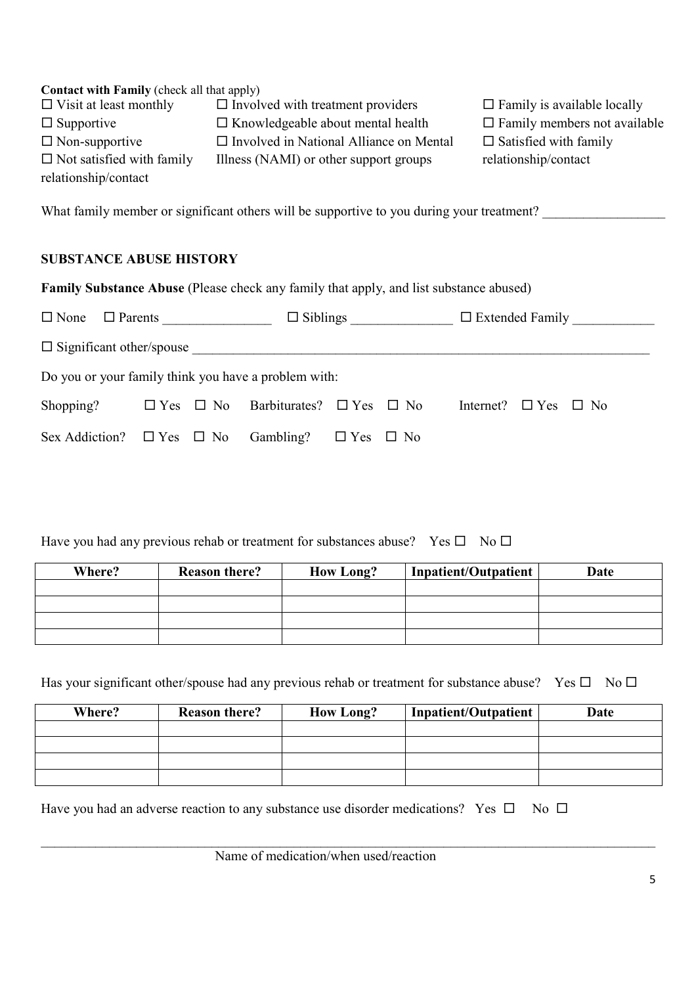| <b>Contact with Family (check all that apply)</b>    |                                                                                                             |                                      |
|------------------------------------------------------|-------------------------------------------------------------------------------------------------------------|--------------------------------------|
| $\Box$ Visit at least monthly                        | $\Box$ Involved with treatment providers                                                                    | $\Box$ Family is available locally   |
| $\Box$ Supportive                                    | $\Box$ Knowledgeable about mental health                                                                    | $\Box$ Family members not available  |
| $\Box$ Non-supportive                                | $\Box$ Involved in National Alliance on Mental                                                              | $\Box$ Satisfied with family         |
| $\Box$ Not satisfied with family                     | Illness (NAMI) or other support groups                                                                      | relationship/contact                 |
| relationship/contact                                 |                                                                                                             |                                      |
|                                                      | What family member or significant others will be supportive to you during your treatment?                   |                                      |
| <b>SUBSTANCE ABUSE HISTORY</b>                       |                                                                                                             |                                      |
|                                                      | <b>Family Substance Abuse</b> (Please check any family that apply, and list substance abused)               |                                      |
|                                                      | $\square$ None $\square$ Parents $\square$ $\square$ Siblings $\square$ $\square$ Extended Family $\square$ |                                      |
|                                                      |                                                                                                             |                                      |
| Do you or your family think you have a problem with: |                                                                                                             |                                      |
| $\mathbb{S}$ hopping?                                | $\Box$ Yes $\Box$ No Barbiturates? $\Box$ Yes<br>$\Box$ No                                                  | Internet?<br>$\Box$ Yes<br>$\Box$ No |

Have you had any previous rehab or treatment for substances abuse? Yes  $\square$  No  $\square$ 

Sex Addiction?  $\Box$  Yes  $\Box$  No Gambling?  $\Box$  Yes  $\Box$  No

| Where? | <b>Reason there?</b> | <b>How Long?</b> | <b>Inpatient/Outpatient</b> | Date |
|--------|----------------------|------------------|-----------------------------|------|
|        |                      |                  |                             |      |
|        |                      |                  |                             |      |
|        |                      |                  |                             |      |
|        |                      |                  |                             |      |

Has your significant other/spouse had any previous rehab or treatment for substance abuse? Yes  $\Box$  No  $\Box$ 

| Where? | <b>Reason there?</b> | <b>How Long?</b> | <b>Inpatient/Outpatient</b> | Date |
|--------|----------------------|------------------|-----------------------------|------|
|        |                      |                  |                             |      |
|        |                      |                  |                             |      |
|        |                      |                  |                             |      |
|        |                      |                  |                             |      |

 $\_$ 

Have you had an adverse reaction to any substance use disorder medications? Yes  $\Box$  No  $\Box$ 

Name of medication/when used/reaction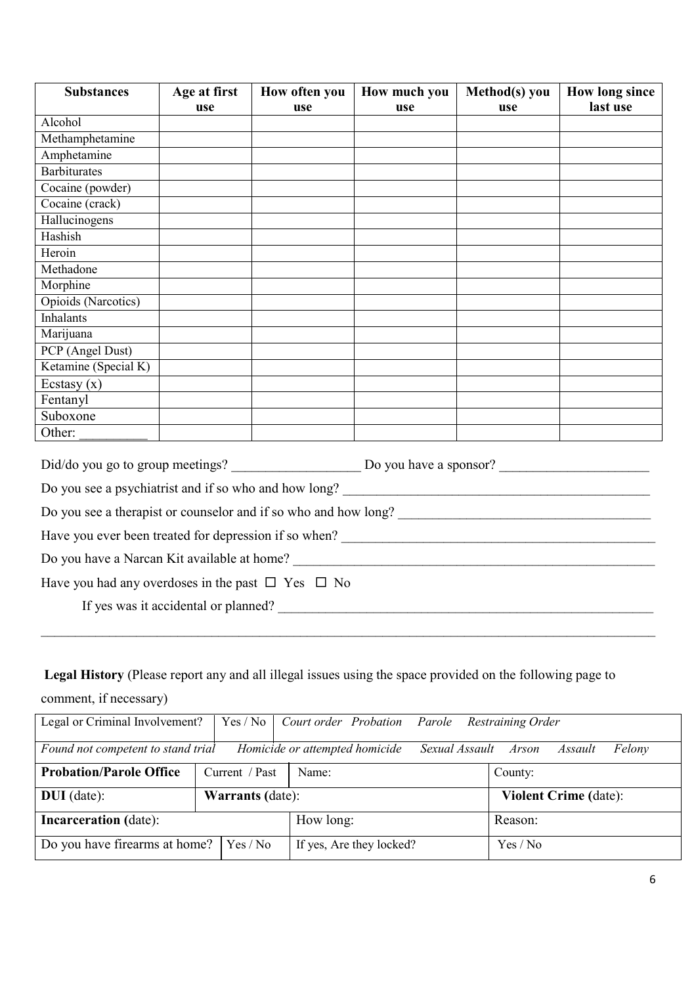| <b>Substances</b>                                                                                                                                                                                                                     | Age at first | How often you | How much you | Method(s) you | <b>How long since</b> |  |  |
|---------------------------------------------------------------------------------------------------------------------------------------------------------------------------------------------------------------------------------------|--------------|---------------|--------------|---------------|-----------------------|--|--|
|                                                                                                                                                                                                                                       | use          | use           | use          | use           | last use              |  |  |
| Alcohol                                                                                                                                                                                                                               |              |               |              |               |                       |  |  |
| Methamphetamine                                                                                                                                                                                                                       |              |               |              |               |                       |  |  |
| Amphetamine                                                                                                                                                                                                                           |              |               |              |               |                       |  |  |
| <b>Barbiturates</b>                                                                                                                                                                                                                   |              |               |              |               |                       |  |  |
| Cocaine (powder)                                                                                                                                                                                                                      |              |               |              |               |                       |  |  |
| Cocaine (crack)                                                                                                                                                                                                                       |              |               |              |               |                       |  |  |
| Hallucinogens                                                                                                                                                                                                                         |              |               |              |               |                       |  |  |
| Hashish                                                                                                                                                                                                                               |              |               |              |               |                       |  |  |
| Heroin                                                                                                                                                                                                                                |              |               |              |               |                       |  |  |
| Methadone                                                                                                                                                                                                                             |              |               |              |               |                       |  |  |
| Morphine                                                                                                                                                                                                                              |              |               |              |               |                       |  |  |
| Opioids (Narcotics)                                                                                                                                                                                                                   |              |               |              |               |                       |  |  |
| <b>Inhalants</b>                                                                                                                                                                                                                      |              |               |              |               |                       |  |  |
| Marijuana                                                                                                                                                                                                                             |              |               |              |               |                       |  |  |
| PCP (Angel Dust)                                                                                                                                                                                                                      |              |               |              |               |                       |  |  |
| Ketamine (Special K)                                                                                                                                                                                                                  |              |               |              |               |                       |  |  |
| Ecstasy $(x)$                                                                                                                                                                                                                         |              |               |              |               |                       |  |  |
| Fentanyl                                                                                                                                                                                                                              |              |               |              |               |                       |  |  |
| Suboxone                                                                                                                                                                                                                              |              |               |              |               |                       |  |  |
| Other:                                                                                                                                                                                                                                |              |               |              |               |                       |  |  |
|                                                                                                                                                                                                                                       |              |               |              |               |                       |  |  |
| Do you see a psychiatrist and if so who and how long?<br><u>Letting</u> and the set of the set of the set of the set of the set of the set of the set of the set of the set of the set of the set of the set of the set of the set of |              |               |              |               |                       |  |  |
| Do you see a therapist or counselor and if so who and how long?<br><u>Letting</u> the set of the set of the set of the set of the set of the set of the set of the set of the set of the set of the set of the set of the set of the  |              |               |              |               |                       |  |  |
| Have you ever been treated for depression if so when?                                                                                                                                                                                 |              |               |              |               |                       |  |  |
| Do you have a Narcan Kit available at home?                                                                                                                                                                                           |              |               |              |               |                       |  |  |
| Have you had any overdoses in the past $\Box$ Yes $\Box$ No                                                                                                                                                                           |              |               |              |               |                       |  |  |
| If yes was it accidental or planned?                                                                                                                                                                                                  |              |               |              |               |                       |  |  |
|                                                                                                                                                                                                                                       |              |               |              |               |                       |  |  |

# **Legal History** (Please report any and all illegal issues using the space provided on the following page to

comment, if necessary)

| Legal or Criminal Involvement?     |  | Yes / No                |                                | Court order Probation Parole |                | <b>Restraining Order</b> |                              |        |
|------------------------------------|--|-------------------------|--------------------------------|------------------------------|----------------|--------------------------|------------------------------|--------|
| Found not competent to stand trial |  |                         | Homicide or attempted homicide |                              | Sexual Assault | Arson                    | Assault                      | Felony |
| <b>Probation/Parole Office</b>     |  | Current / Past          | Name:                          |                              |                | County:                  |                              |        |
| $DUI$ (date):                      |  | <b>Warrants</b> (date): |                                |                              |                |                          | <b>Violent Crime (date):</b> |        |
| <b>Incarceration</b> (date):       |  | How long:               |                                |                              | Reason:        |                          |                              |        |
| Do you have firearms at home?      |  | Yes / No                |                                | If yes, Are they locked?     |                | Yes / No                 |                              |        |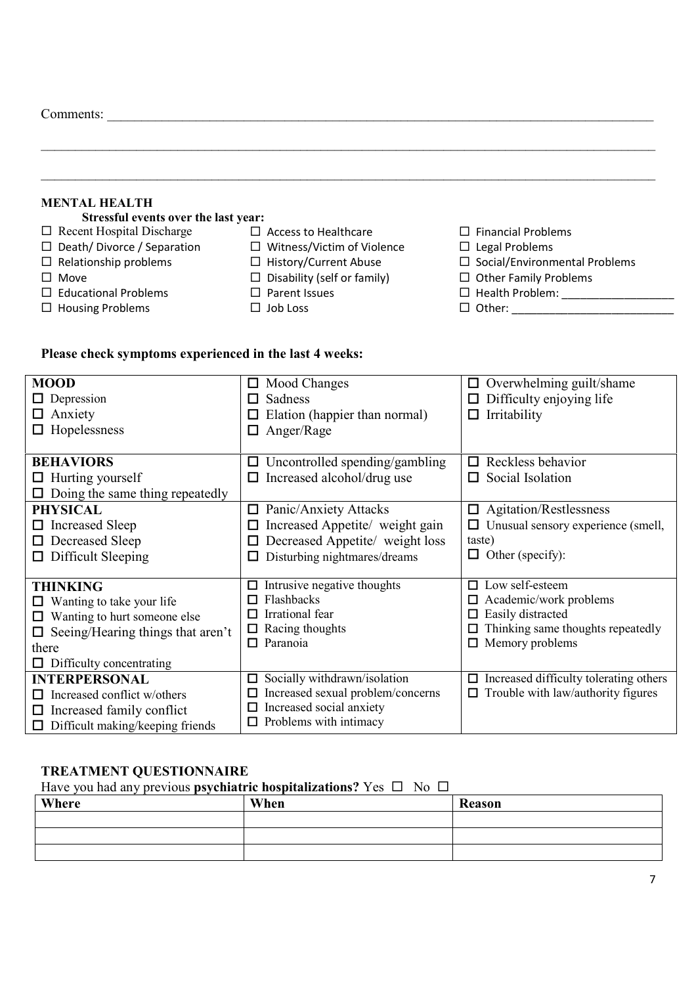Comments: \_\_\_\_\_\_\_\_\_\_\_\_\_\_\_\_\_\_\_\_\_\_\_\_\_\_\_\_\_\_\_\_\_\_\_\_\_\_\_\_\_\_\_\_\_\_\_\_\_\_\_\_\_\_\_\_\_\_\_\_\_\_\_\_\_\_\_\_\_\_\_\_\_\_\_\_\_\_\_\_

| <b>MENTAL HEALTH</b>                 |                                    |                                      |
|--------------------------------------|------------------------------------|--------------------------------------|
| Stressful events over the last year: |                                    |                                      |
| $\Box$ Recent Hospital Discharge     | $\Box$ Access to Healthcare        | $\Box$ Financial Problems            |
| $\Box$ Death/Divorce / Separation    | $\Box$ Witness/Victim of Violence  | $\Box$ Legal Problems                |
| $\Box$ Relationship problems         | □ History/Current Abuse            | $\Box$ Social/Environmental Problems |
| $\Box$ Move                          | $\Box$ Disability (self or family) | $\Box$ Other Family Problems         |
| $\Box$ Educational Problems          | $\Box$ Parent Issues               | $\Box$ Health Problem:               |
| $\Box$ Housing Problems              | $\Box$ Job Loss                    |                                      |

 $\_$ 

### **Please check symptoms experienced in the last 4 weeks:**

| <b>MOOD</b><br>$\Box$ Depression<br>Anxiety<br>ப<br>Hopelessness                                                                                                              | $\Box$ Mood Changes<br>Sadness<br>П<br>Elation (happier than normal)<br>Anger/Rage<br>ப                                                    | Overwhelming guilt/shame<br>$\Box$<br>Difficulty enjoying life<br>ப<br>Irritability<br>□                                         |
|-------------------------------------------------------------------------------------------------------------------------------------------------------------------------------|--------------------------------------------------------------------------------------------------------------------------------------------|----------------------------------------------------------------------------------------------------------------------------------|
| <b>BEHAVIORS</b><br>$\Box$ Hurting yourself<br>Doing the same thing repeatedly                                                                                                | Uncontrolled spending/gambling<br>ப<br>Increased alcohol/drug use<br>$\Box$                                                                | Reckless behavior<br>П<br>Social Isolation<br>$\Box$                                                                             |
| <b>PHYSICAL</b><br><b>Increased Sleep</b><br>Ш<br>Decreased Sleep<br>Difficult Sleeping<br>ப                                                                                  | Panic/Anxiety Attacks<br>$\Box$<br>Increased Appetite/ weight gain<br>Decreased Appetite/ weight loss<br>Disturbing nightmares/dreams<br>ப | Agitation/Restlessness<br>$\Box$<br>Unusual sensory experience (smell,<br>ப<br>taste)<br>Other (specify):<br>□                   |
| <b>THINKING</b><br>Wanting to take your life.<br>Wanting to hurt someone else<br>$\Box$<br>Seeing/Hearing things that aren't<br>ப<br>there<br>$\Box$ Difficulty concentrating | Intrusive negative thoughts<br>$\Box$<br>Flashbacks<br>Irrational fear<br>ப<br>Racing thoughts<br>0<br>Paranoia<br>0                       | Low self-esteem<br>□<br>Academic/work problems<br>Easily distracted<br>Thinking same thoughts repeatedly<br>Memory problems<br>□ |
| <b>INTERPERSONAL</b><br>Increased conflict w/others<br>Increased family conflict<br>ப<br>Difficult making/keeping friends                                                     | Socially withdrawn/isolation<br>0<br>Increased sexual problem/concerns<br>Increased social anxiety<br>$\Box$ Problems with intimacy        | Increased difficulty tolerating others<br>□<br>Trouble with law/authority figures<br>□                                           |

### **TREATMENT QUESTIONNAIRE**

Have you had any previous **psychiatric hospitalizations?** Yes  $\Box$  No  $\Box$ 

| Where | When | Reason |
|-------|------|--------|
|       |      |        |
|       |      |        |
|       |      |        |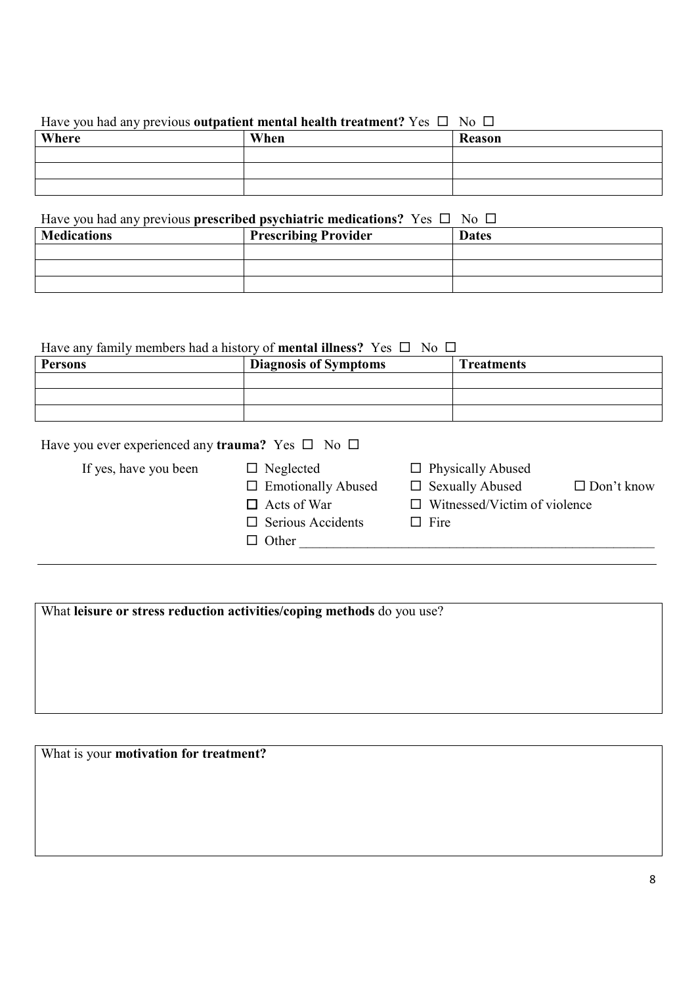#### Have you had any previous **outpatient mental health treatment?** Yes  $\Box$  No  $\Box$

| Where | When | <b>Reason</b> |
|-------|------|---------------|
|       |      |               |
|       |      |               |
|       |      |               |

# Have you had any previous **prescribed psychiatric medications?** Yes  $\Box$  No  $\Box$

| <b>Medications</b> | <b>Prescribing Provider</b> | <b>Dates</b> |
|--------------------|-----------------------------|--------------|
|                    |                             |              |
|                    |                             |              |
|                    |                             |              |

### Have any family members had a history of **mental illness?** Yes  $\Box$  No  $\Box$

| <b>Persons</b> | <b>Diagnosis of Symptoms</b> | <b>Treatments</b> |
|----------------|------------------------------|-------------------|
|                |                              |                   |
|                |                              |                   |
|                |                              |                   |

| Have you ever experienced any trauma? Yes $\square$ No $\square$ |                                                                                                                 |                                                                                                          |                   |
|------------------------------------------------------------------|-----------------------------------------------------------------------------------------------------------------|----------------------------------------------------------------------------------------------------------|-------------------|
| If yes, have you been                                            | $\Box$ Neglected<br>$\Box$ Emotionally Abused<br>$\Box$ Acts of War<br>$\Box$ Serious Accidents<br>$\Box$ Other | $\Box$ Physically Abused<br>$\Box$ Sexually Abused<br>$\Box$ Witnessed/Victim of violence<br>$\Box$ Fire | $\Box$ Don't know |

What **leisure or stress reduction activities/coping methods** do you use?

What is your **motivation for treatment?**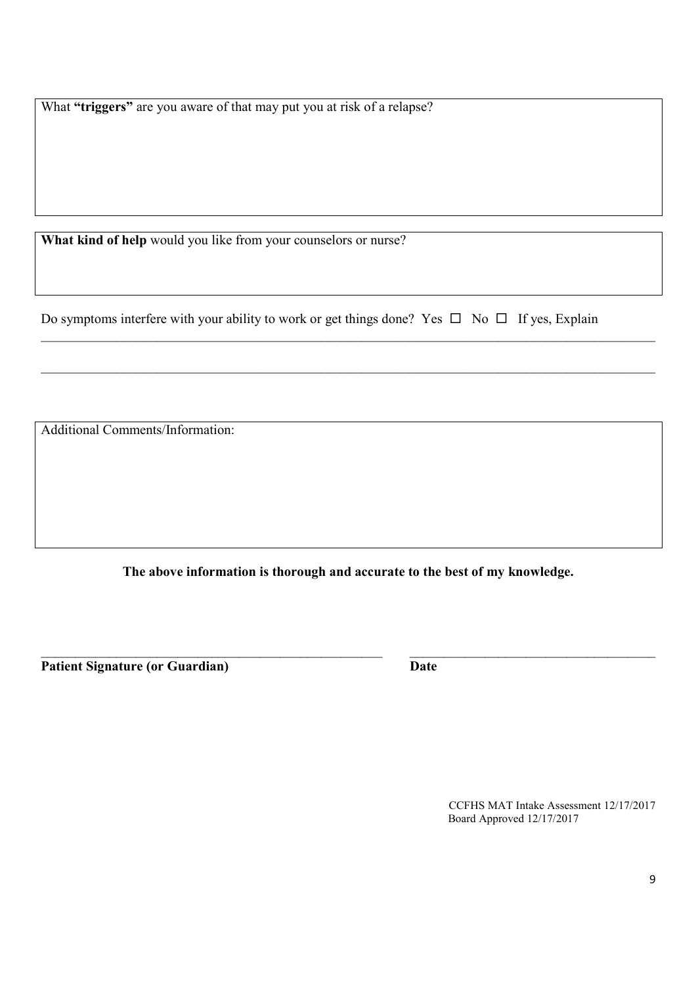What **"triggers"** are you aware of that may put you at risk of a relapse?

**What kind of help** would you like from your counselors or nurse?

Do symptoms interfere with your ability to work or get things done? Yes  $\Box$  No  $\Box$  If yes, Explain

 $\mathcal{L}_\mathcal{L} = \mathcal{L}_\mathcal{L} = \mathcal{L}_\mathcal{L} = \mathcal{L}_\mathcal{L} = \mathcal{L}_\mathcal{L} = \mathcal{L}_\mathcal{L} = \mathcal{L}_\mathcal{L} = \mathcal{L}_\mathcal{L} = \mathcal{L}_\mathcal{L} = \mathcal{L}_\mathcal{L} = \mathcal{L}_\mathcal{L} = \mathcal{L}_\mathcal{L} = \mathcal{L}_\mathcal{L} = \mathcal{L}_\mathcal{L} = \mathcal{L}_\mathcal{L} = \mathcal{L}_\mathcal{L} = \mathcal{L}_\mathcal{L}$ 

 $\_$ 

Additional Comments/Information:

**The above information is thorough and accurate to the best of my knowledge.**

 $\mathcal{L}_\mathcal{L} = \{ \mathcal{L}_\mathcal{L} = \{ \mathcal{L}_\mathcal{L} = \{ \mathcal{L}_\mathcal{L} = \{ \mathcal{L}_\mathcal{L} = \{ \mathcal{L}_\mathcal{L} = \{ \mathcal{L}_\mathcal{L} = \{ \mathcal{L}_\mathcal{L} = \{ \mathcal{L}_\mathcal{L} = \{ \mathcal{L}_\mathcal{L} = \{ \mathcal{L}_\mathcal{L} = \{ \mathcal{L}_\mathcal{L} = \{ \mathcal{L}_\mathcal{L} = \{ \mathcal{L}_\mathcal{L} = \{ \mathcal{L}_\mathcal{$ 

Patient Signature (or Guardian) **Date** 

CCFHS MAT Intake Assessment 12/17/2017 Board Approved 12/17/2017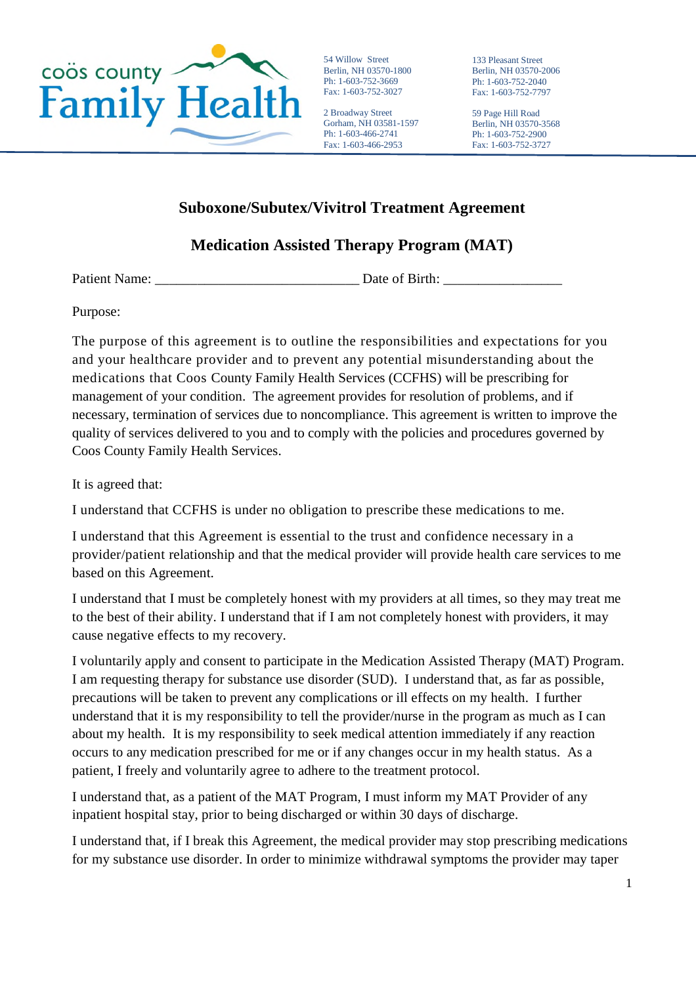

54 Willow Street Berlin, NH 03570-1800 Ph: 1-603-752-3669 Fax: 1-603-752-3027

2 Broadway Street Gorham, NH 03581-1597 Ph: 1-603-466-2741 Fax: 1-603-466-2953

133 Pleasant Street Berlin, NH 03570-2006 Ph: 1-603-752-2040 Fax: 1-603-752-7797

59 Page Hill Road Berlin, NH 03570-3568 Ph: 1-603-752-2900 Fax: 1-603-752-3727

# **Suboxone/Subutex/Vivitrol Treatment Agreement**

# **Medication Assisted Therapy Program (MAT)**

Patient Name: \_\_\_\_\_\_\_\_\_\_\_\_\_\_\_\_\_\_\_\_\_\_\_\_\_\_\_\_\_ Date of Birth: \_\_\_\_\_\_\_\_\_\_\_\_\_\_\_\_\_

Purpose:

The purpose of this agreement is to outline the responsibilities and expectations for you and your healthcare provider and to prevent any potential misunderstanding about the medications that Coos County Family Health Services (CCFHS) will be prescribing for management of your condition. The agreement provides for resolution of problems, and if necessary, termination of services due to noncompliance. This agreement is written to improve the quality of services delivered to you and to comply with the policies and procedures governed by Coos County Family Health Services.

It is agreed that:

I understand that CCFHS is under no obligation to prescribe these medications to me.

I understand that this Agreement is essential to the trust and confidence necessary in a provider/patient relationship and that the medical provider will provide health care services to me based on this Agreement.

I understand that I must be completely honest with my providers at all times, so they may treat me to the best of their ability. I understand that if I am not completely honest with providers, it may cause negative effects to my recovery.

I voluntarily apply and consent to participate in the Medication Assisted Therapy (MAT) Program. I am requesting therapy for substance use disorder (SUD). I understand that, as far as possible, precautions will be taken to prevent any complications or ill effects on my health. I further understand that it is my responsibility to tell the provider/nurse in the program as much as I can about my health. It is my responsibility to seek medical attention immediately if any reaction occurs to any medication prescribed for me or if any changes occur in my health status. As a patient, I freely and voluntarily agree to adhere to the treatment protocol.

I understand that, as a patient of the MAT Program, I must inform my MAT Provider of any inpatient hospital stay, prior to being discharged or within 30 days of discharge.

I understand that, if I break this Agreement, the medical provider may stop prescribing medications for my substance use disorder. In order to minimize withdrawal symptoms the provider may taper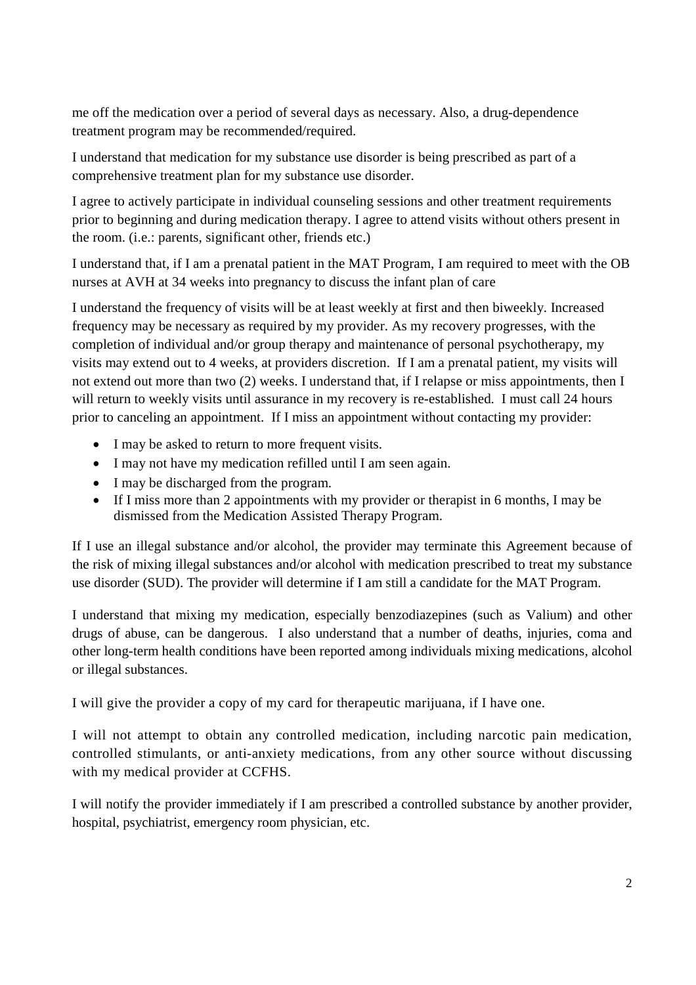me off the medication over a period of several days as necessary. Also, a drug-dependence treatment program may be recommended/required.

I understand that medication for my substance use disorder is being prescribed as part of a comprehensive treatment plan for my substance use disorder.

I agree to actively participate in individual counseling sessions and other treatment requirements prior to beginning and during medication therapy. I agree to attend visits without others present in the room. (i.e.: parents, significant other, friends etc.)

I understand that, if I am a prenatal patient in the MAT Program, I am required to meet with the OB nurses at AVH at 34 weeks into pregnancy to discuss the infant plan of care

I understand the frequency of visits will be at least weekly at first and then biweekly. Increased frequency may be necessary as required by my provider. As my recovery progresses, with the completion of individual and/or group therapy and maintenance of personal psychotherapy, my visits may extend out to 4 weeks, at providers discretion. If I am a prenatal patient, my visits will not extend out more than two (2) weeks. I understand that, if I relapse or miss appointments, then I will return to weekly visits until assurance in my recovery is re-established. I must call 24 hours prior to canceling an appointment. If I miss an appointment without contacting my provider:

- I may be asked to return to more frequent visits.
- I may not have my medication refilled until I am seen again.
- I may be discharged from the program.
- If I miss more than 2 appointments with my provider or therapist in 6 months, I may be dismissed from the Medication Assisted Therapy Program.

If I use an illegal substance and/or alcohol, the provider may terminate this Agreement because of the risk of mixing illegal substances and/or alcohol with medication prescribed to treat my substance use disorder (SUD). The provider will determine if I am still a candidate for the MAT Program.

I understand that mixing my medication, especially benzodiazepines (such as Valium) and other drugs of abuse, can be dangerous. I also understand that a number of deaths, injuries, coma and other long-term health conditions have been reported among individuals mixing medications, alcohol or illegal substances.

I will give the provider a copy of my card for therapeutic marijuana, if I have one.

I will not attempt to obtain any controlled medication, including narcotic pain medication, controlled stimulants, or anti-anxiety medications, from any other source without discussing with my medical provider at CCFHS.

I will notify the provider immediately if I am prescribed a controlled substance by another provider, hospital, psychiatrist, emergency room physician, etc.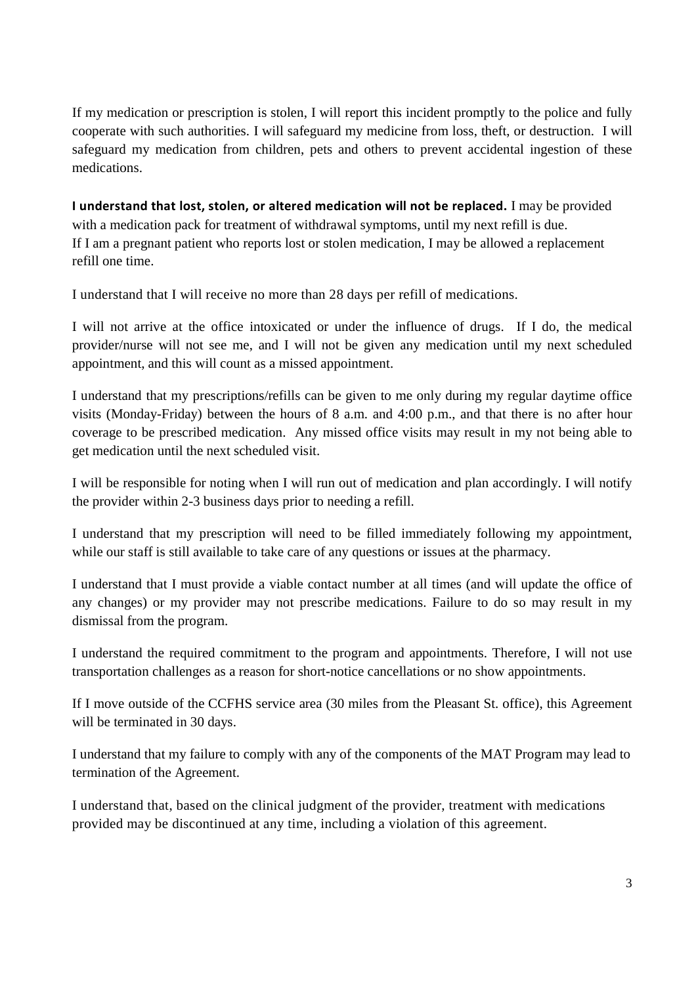If my medication or prescription is stolen, I will report this incident promptly to the police and fully cooperate with such authorities. I will safeguard my medicine from loss, theft, or destruction. I will safeguard my medication from children, pets and others to prevent accidental ingestion of these medications.

**I understand that lost, stolen, or altered medication will not be replaced.** I may be provided with a medication pack for treatment of withdrawal symptoms, until my next refill is due. If I am a pregnant patient who reports lost or stolen medication, I may be allowed a replacement refill one time.

I understand that I will receive no more than 28 days per refill of medications.

I will not arrive at the office intoxicated or under the influence of drugs. If I do, the medical provider/nurse will not see me, and I will not be given any medication until my next scheduled appointment, and this will count as a missed appointment.

I understand that my prescriptions/refills can be given to me only during my regular daytime office visits (Monday-Friday) between the hours of 8 a.m. and 4:00 p.m., and that there is no after hour coverage to be prescribed medication. Any missed office visits may result in my not being able to get medication until the next scheduled visit.

I will be responsible for noting when I will run out of medication and plan accordingly. I will notify the provider within 2-3 business days prior to needing a refill.

I understand that my prescription will need to be filled immediately following my appointment, while our staff is still available to take care of any questions or issues at the pharmacy.

I understand that I must provide a viable contact number at all times (and will update the office of any changes) or my provider may not prescribe medications. Failure to do so may result in my dismissal from the program.

I understand the required commitment to the program and appointments. Therefore, I will not use transportation challenges as a reason for short-notice cancellations or no show appointments.

If I move outside of the CCFHS service area (30 miles from the Pleasant St. office), this Agreement will be terminated in 30 days.

I understand that my failure to comply with any of the components of the MAT Program may lead to termination of the Agreement.

I understand that, based on the clinical judgment of the provider, treatment with medications provided may be discontinued at any time, including a violation of this agreement.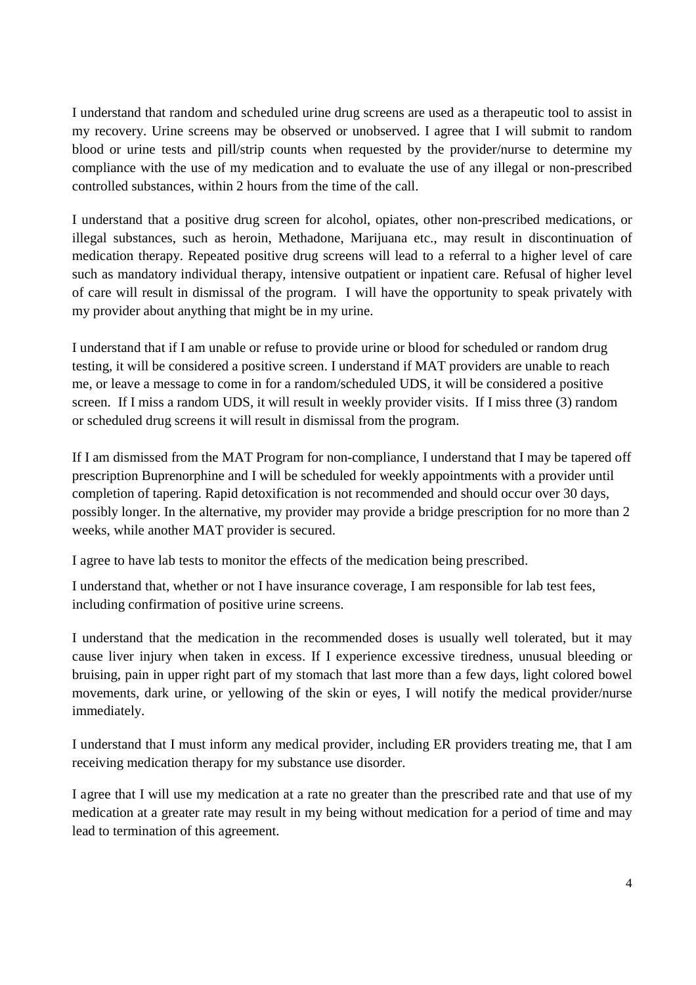I understand that random and scheduled urine drug screens are used as a therapeutic tool to assist in my recovery. Urine screens may be observed or unobserved. I agree that I will submit to random blood or urine tests and pill/strip counts when requested by the provider/nurse to determine my compliance with the use of my medication and to evaluate the use of any illegal or non-prescribed controlled substances, within 2 hours from the time of the call.

I understand that a positive drug screen for alcohol, opiates, other non-prescribed medications, or illegal substances, such as heroin, Methadone, Marijuana etc., may result in discontinuation of medication therapy. Repeated positive drug screens will lead to a referral to a higher level of care such as mandatory individual therapy, intensive outpatient or inpatient care. Refusal of higher level of care will result in dismissal of the program. I will have the opportunity to speak privately with my provider about anything that might be in my urine.

I understand that if I am unable or refuse to provide urine or blood for scheduled or random drug testing, it will be considered a positive screen. I understand if MAT providers are unable to reach me, or leave a message to come in for a random/scheduled UDS, it will be considered a positive screen. If I miss a random UDS, it will result in weekly provider visits. If I miss three (3) random or scheduled drug screens it will result in dismissal from the program.

If I am dismissed from the MAT Program for non-compliance, I understand that I may be tapered off prescription Buprenorphine and I will be scheduled for weekly appointments with a provider until completion of tapering. Rapid detoxification is not recommended and should occur over 30 days, possibly longer. In the alternative, my provider may provide a bridge prescription for no more than 2 weeks, while another MAT provider is secured.

I agree to have lab tests to monitor the effects of the medication being prescribed.

I understand that, whether or not I have insurance coverage, I am responsible for lab test fees, including confirmation of positive urine screens.

I understand that the medication in the recommended doses is usually well tolerated, but it may cause liver injury when taken in excess. If I experience excessive tiredness, unusual bleeding or bruising, pain in upper right part of my stomach that last more than a few days, light colored bowel movements, dark urine, or yellowing of the skin or eyes, I will notify the medical provider/nurse immediately.

I understand that I must inform any medical provider, including ER providers treating me, that I am receiving medication therapy for my substance use disorder.

I agree that I will use my medication at a rate no greater than the prescribed rate and that use of my medication at a greater rate may result in my being without medication for a period of time and may lead to termination of this agreement.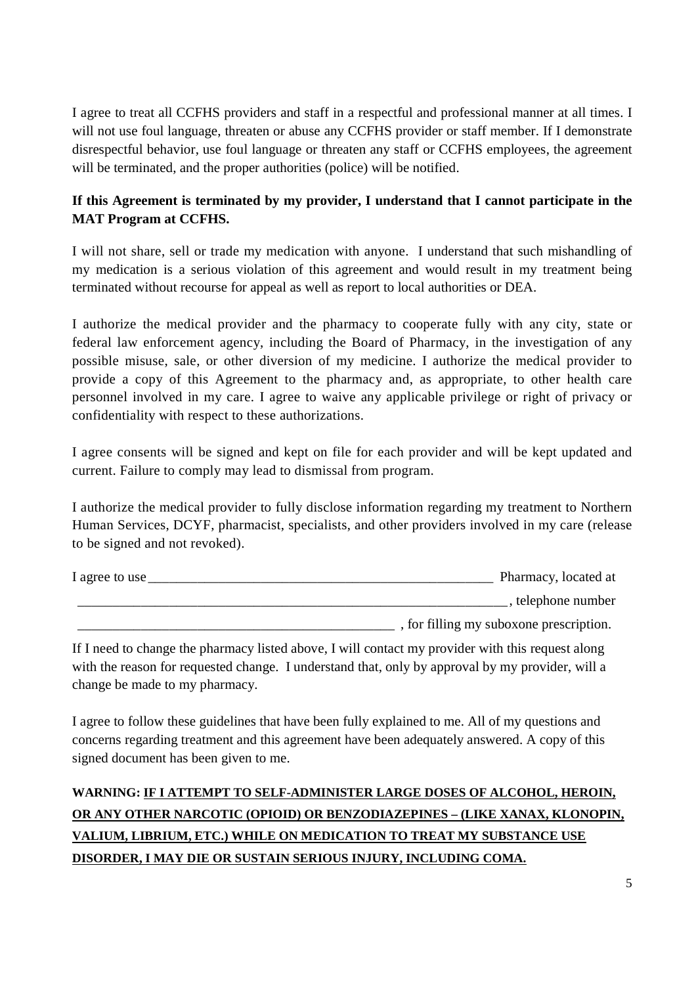I agree to treat all CCFHS providers and staff in a respectful and professional manner at all times. I will not use foul language, threaten or abuse any CCFHS provider or staff member. If I demonstrate disrespectful behavior, use foul language or threaten any staff or CCFHS employees, the agreement will be terminated, and the proper authorities (police) will be notified.

### **If this Agreement is terminated by my provider, I understand that I cannot participate in the MAT Program at CCFHS.**

I will not share, sell or trade my medication with anyone. I understand that such mishandling of my medication is a serious violation of this agreement and would result in my treatment being terminated without recourse for appeal as well as report to local authorities or DEA.

I authorize the medical provider and the pharmacy to cooperate fully with any city, state or federal law enforcement agency, including the Board of Pharmacy, in the investigation of any possible misuse, sale, or other diversion of my medicine. I authorize the medical provider to provide a copy of this Agreement to the pharmacy and, as appropriate, to other health care personnel involved in my care. I agree to waive any applicable privilege or right of privacy or confidentiality with respect to these authorizations.

I agree consents will be signed and kept on file for each provider and will be kept updated and current. Failure to comply may lead to dismissal from program.

I authorize the medical provider to fully disclose information regarding my treatment to Northern Human Services, DCYF, pharmacist, specialists, and other providers involved in my care (release to be signed and not revoked).

| 1 agree to use | Pharmacy, located at                    |
|----------------|-----------------------------------------|
|                | telephone number                        |
|                | , for filling my suboxone prescription. |

If I need to change the pharmacy listed above, I will contact my provider with this request along with the reason for requested change. I understand that, only by approval by my provider, will a change be made to my pharmacy.

I agree to follow these guidelines that have been fully explained to me. All of my questions and concerns regarding treatment and this agreement have been adequately answered. A copy of this signed document has been given to me.

# **WARNING: IF I ATTEMPT TO SELF-ADMINISTER LARGE DOSES OF ALCOHOL, HEROIN, OR ANY OTHER NARCOTIC (OPIOID) OR BENZODIAZEPINES – (LIKE XANAX, KLONOPIN, VALIUM, LIBRIUM, ETC.) WHILE ON MEDICATION TO TREAT MY SUBSTANCE USE DISORDER, I MAY DIE OR SUSTAIN SERIOUS INJURY, INCLUDING COMA.**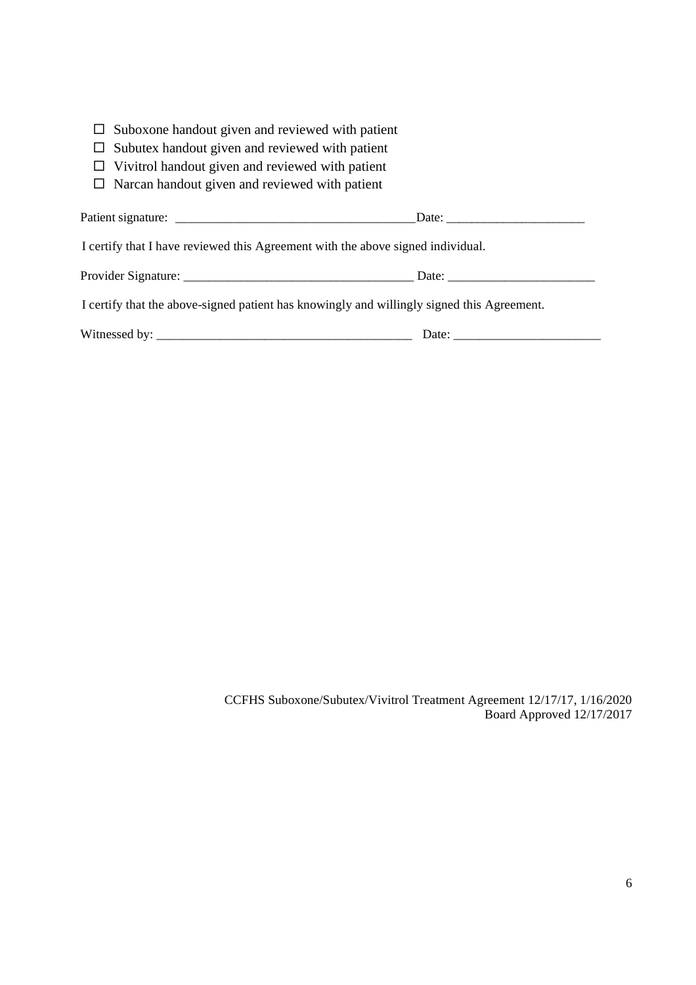| $\square$ Suboxone handout given and reviewed with patient |  |  |  |  |  |  |  |  |
|------------------------------------------------------------|--|--|--|--|--|--|--|--|
|------------------------------------------------------------|--|--|--|--|--|--|--|--|

- $\Box$  Subutex handout given and reviewed with patient
- $\square$  Vivitrol handout given and reviewed with patient
- $\square$  Narcan handout given and reviewed with patient

| I certify that I have reviewed this Agreement with the above signed individual.            |  |  |  |
|--------------------------------------------------------------------------------------------|--|--|--|
|                                                                                            |  |  |  |
| I certify that the above-signed patient has knowingly and willingly signed this Agreement. |  |  |  |
|                                                                                            |  |  |  |

CCFHS Suboxone/Subutex/Vivitrol Treatment Agreement 12/17/17, 1/16/2020 Board Approved 12/17/2017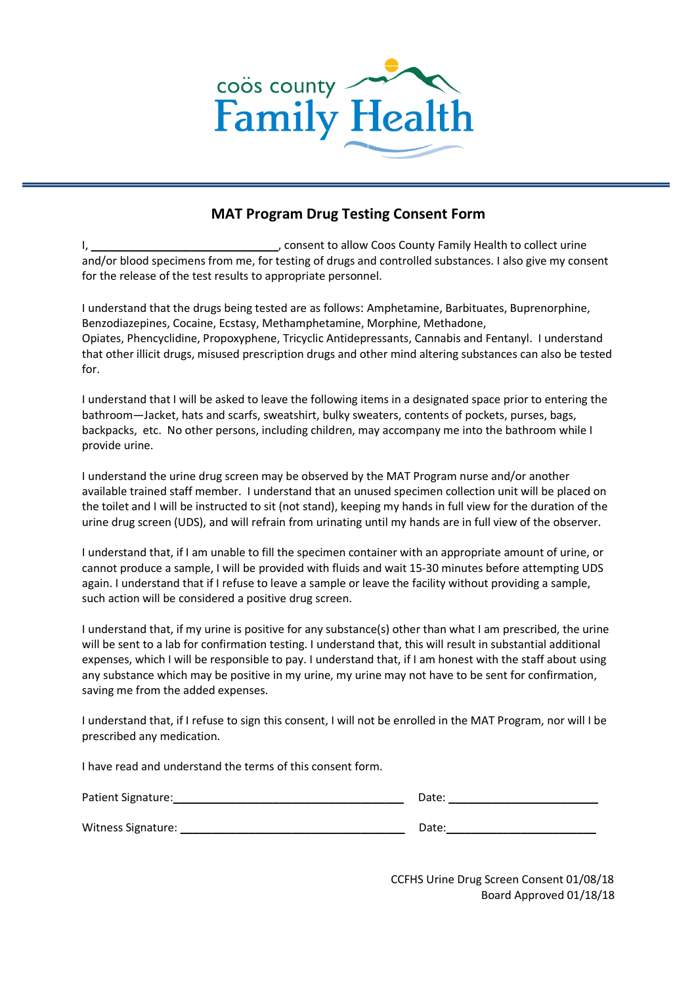

### **MAT Program Drug Testing Consent Form**

I, \_\_\_\_\_\_\_\_\_\_\_\_\_\_\_\_\_\_\_\_\_\_\_\_\_\_\_\_\_\_, consent to allow Coos County Family Health to collect urine and/or blood specimens from me, for testing of drugs and controlled substances. I also give my consent for the release of the test results to appropriate personnel.

I understand that the drugs being tested are as follows: Amphetamine, Barbituates, Buprenorphine, Benzodiazepines, Cocaine, Ecstasy, Methamphetamine, Morphine, Methadone, Opiates, Phencyclidine, Propoxyphene, Tricyclic Antidepressants, Cannabis and Fentanyl. I understand that other illicit drugs, misused prescription drugs and other mind altering substances can also be tested for.

I understand that I will be asked to leave the following items in a designated space prior to entering the bathroom—Jacket, hats and scarfs, sweatshirt, bulky sweaters, contents of pockets, purses, bags, backpacks, etc. No other persons, including children, may accompany me into the bathroom while I provide urine.

I understand the urine drug screen may be observed by the MAT Program nurse and/or another available trained staff member. I understand that an unused specimen collection unit will be placed on the toilet and I will be instructed to sit (not stand), keeping my hands in full view for the duration of the urine drug screen (UDS), and will refrain from urinating until my hands are in full view of the observer.

I understand that, if I am unable to fill the specimen container with an appropriate amount of urine, or cannot produce a sample, I will be provided with fluids and wait 15-30 minutes before attempting UDS again. I understand that if I refuse to leave a sample or leave the facility without providing a sample, such action will be considered a positive drug screen.

I understand that, if my urine is positive for any substance(s) other than what I am prescribed, the urine will be sent to a lab for confirmation testing. I understand that, this will result in substantial additional expenses, which I will be responsible to pay. I understand that, if I am honest with the staff about using any substance which may be positive in my urine, my urine may not have to be sent for confirmation, saving me from the added expenses.

I understand that, if I refuse to sign this consent, I will not be enrolled in the MAT Program, nor will I be prescribed any medication.

I have read and understand the terms of this consent form.

| Patient Signature: | Date: |
|--------------------|-------|
| Witness Signature: | Date: |

CCFHS Urine Drug Screen Consent 01/08/18 Board Approved 01/18/18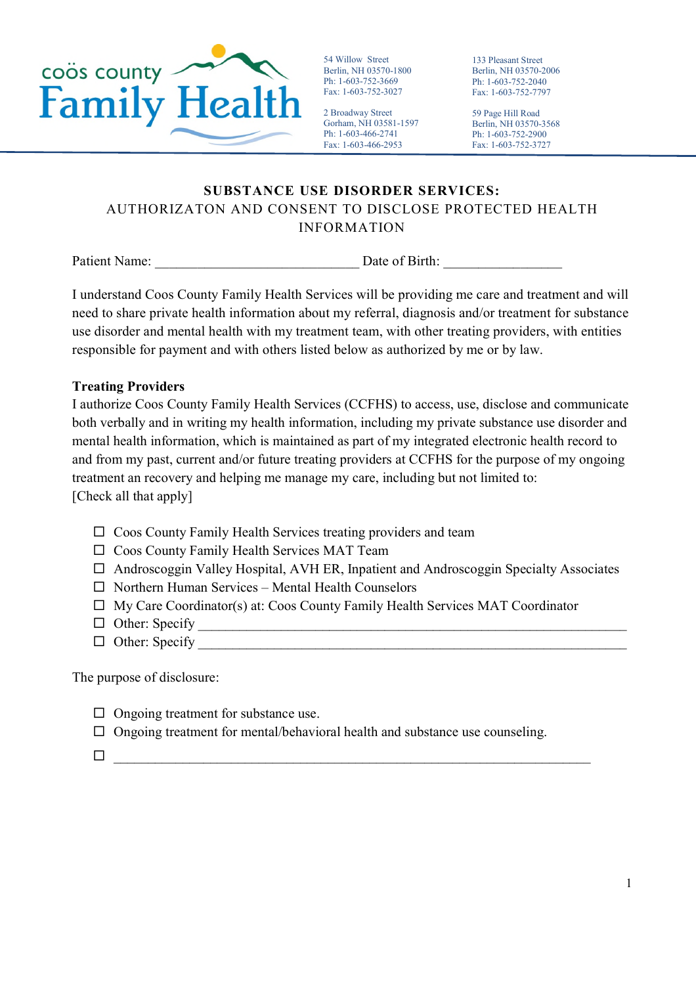

54 Willow Street Berlin, NH 03570-1800 Ph: 1-603-752-3669 Fax: 1-603-752-3027

2 Broadway Street Gorham, NH 03581-1597 Ph: 1-603-466-2741 Fax: 1-603-466-2953

133 Pleasant Street Berlin, NH 03570-2006 Ph: 1-603-752-2040 Fax: 1-603-752-7797

59 Page Hill Road Berlin, NH 03570-3568 Ph: 1-603-752-2900 Fax: 1-603-752-3727

# **SUBSTANCE USE DISORDER SERVICES:** AUTHORIZATON AND CONSENT TO DISCLOSE PROTECTED HEALTH INFORMATION

Patient Name: <br>
Date of Birth:

I understand Coos County Family Health Services will be providing me care and treatment and will need to share private health information about my referral, diagnosis and/or treatment for substance use disorder and mental health with my treatment team, with other treating providers, with entities responsible for payment and with others listed below as authorized by me or by law.

### **Treating Providers**

I authorize Coos County Family Health Services (CCFHS) to access, use, disclose and communicate both verbally and in writing my health information, including my private substance use disorder and mental health information, which is maintained as part of my integrated electronic health record to and from my past, current and/or future treating providers at CCFHS for the purpose of my ongoing treatment an recovery and helping me manage my care, including but not limited to: [Check all that apply]

- $\Box$  Coos County Family Health Services treating providers and team
- $\Box$  Coos County Family Health Services MAT Team
- $\Box$  Androscoggin Valley Hospital, AVH ER, Inpatient and Androscoggin Specialty Associates
- $\Box$  Northern Human Services Mental Health Counselors
- $\Box$  My Care Coordinator(s) at: Coos County Family Health Services MAT Coordinator
- Other: Specify \_\_\_\_\_\_\_\_\_\_\_\_\_\_\_\_\_\_\_\_\_\_\_\_\_\_\_\_\_\_\_\_\_\_\_\_\_\_\_\_\_\_\_\_\_\_\_\_\_\_\_\_\_\_\_\_\_\_\_\_\_\_
- $\Box$  Other: Specify

The purpose of disclosure:

- $\Box$  Ongoing treatment for substance use.
- $\Box$  Ongoing treatment for mental/behavioral health and substance use counseling.
- $\Box$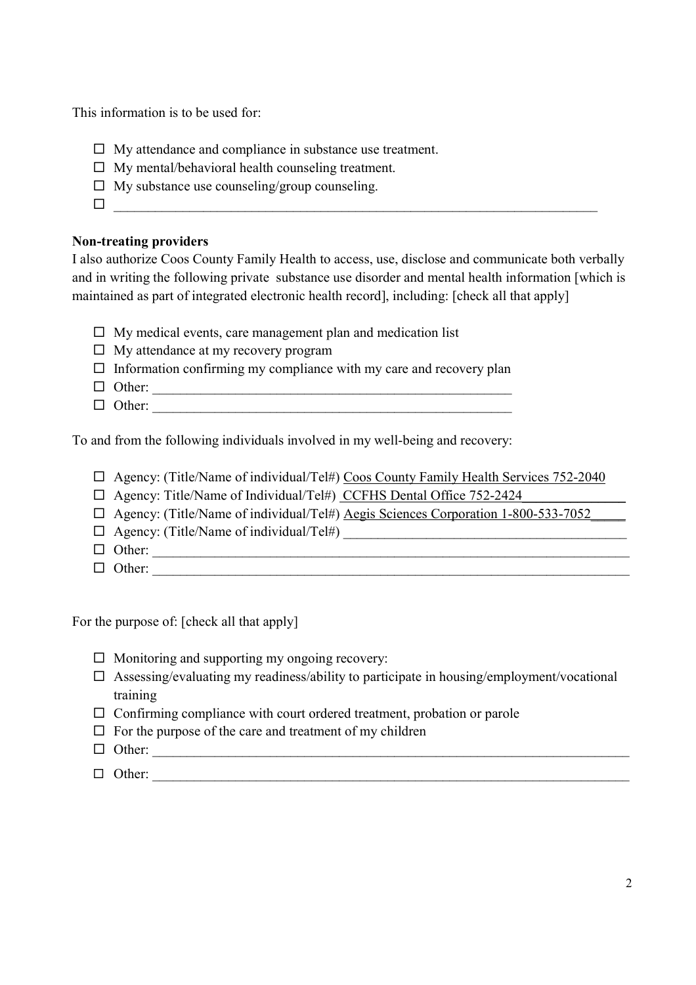This information is to be used for:

- $\Box$  My attendance and compliance in substance use treatment.
- $\Box$  My mental/behavioral health counseling treatment.
- $\Box$  My substance use counseling/group counseling.
- \_\_\_\_\_\_\_\_\_\_\_\_\_\_\_\_\_\_\_\_\_\_\_\_\_\_\_\_\_\_\_\_\_\_\_\_\_\_\_\_\_\_\_\_\_\_\_\_\_\_\_\_\_\_\_\_\_\_\_\_\_\_\_\_\_\_\_\_\_\_

#### **Non-treating providers**

I also authorize Coos County Family Health to access, use, disclose and communicate both verbally and in writing the following private substance use disorder and mental health information [which is maintained as part of integrated electronic health record], including: [check all that apply]

- $\Box$  My medical events, care management plan and medication list
- $\Box$  My attendance at my recovery program
- $\Box$  Information confirming my compliance with my care and recovery plan
- $\Box$  Other:
- $\Box$  Other:

To and from the following individuals involved in my well-being and recovery:

- $\Box$  Agency: (Title/Name of individual/Tel#) Coos County Family Health Services 752-2040
- $\Box$  Agency: Title/Name of Individual/Tel#) CCFHS Dental Office 752-2424
- □ Agency: (Title/Name of individual/Tel#) Aegis Sciences Corporation 1-800-533-7052
- Agency: (Title/Name of individual/Tel#) \_\_\_\_\_\_\_\_\_\_\_\_\_\_\_\_\_\_\_\_\_\_\_\_\_\_\_\_\_\_\_\_\_\_\_\_\_\_\_\_\_
- Other: \_\_\_\_\_\_\_\_\_\_\_\_\_\_\_\_\_\_\_\_\_\_\_\_\_\_\_\_\_\_\_\_\_\_\_\_\_\_\_\_\_\_\_\_\_\_\_\_\_\_\_\_\_\_\_\_\_\_\_\_\_\_\_\_\_\_\_\_\_
- Other: \_\_\_\_\_\_\_\_\_\_\_\_\_\_\_\_\_\_\_\_\_\_\_\_\_\_\_\_\_\_\_\_\_\_\_\_\_\_\_\_\_\_\_\_\_\_\_\_\_\_\_\_\_\_\_\_\_\_\_\_\_\_\_\_\_\_\_\_\_

For the purpose of: [check all that apply]

- $\Box$  Monitoring and supporting my ongoing recovery:
- $\square$  Assessing/evaluating my readiness/ability to participate in housing/employment/vocational training
- $\Box$  Confirming compliance with court ordered treatment, probation or parole
- $\Box$  For the purpose of the care and treatment of my children
- $\Box$  Other:
- Other: \_\_\_\_\_\_\_\_\_\_\_\_\_\_\_\_\_\_\_\_\_\_\_\_\_\_\_\_\_\_\_\_\_\_\_\_\_\_\_\_\_\_\_\_\_\_\_\_\_\_\_\_\_\_\_\_\_\_\_\_\_\_\_\_\_\_\_\_\_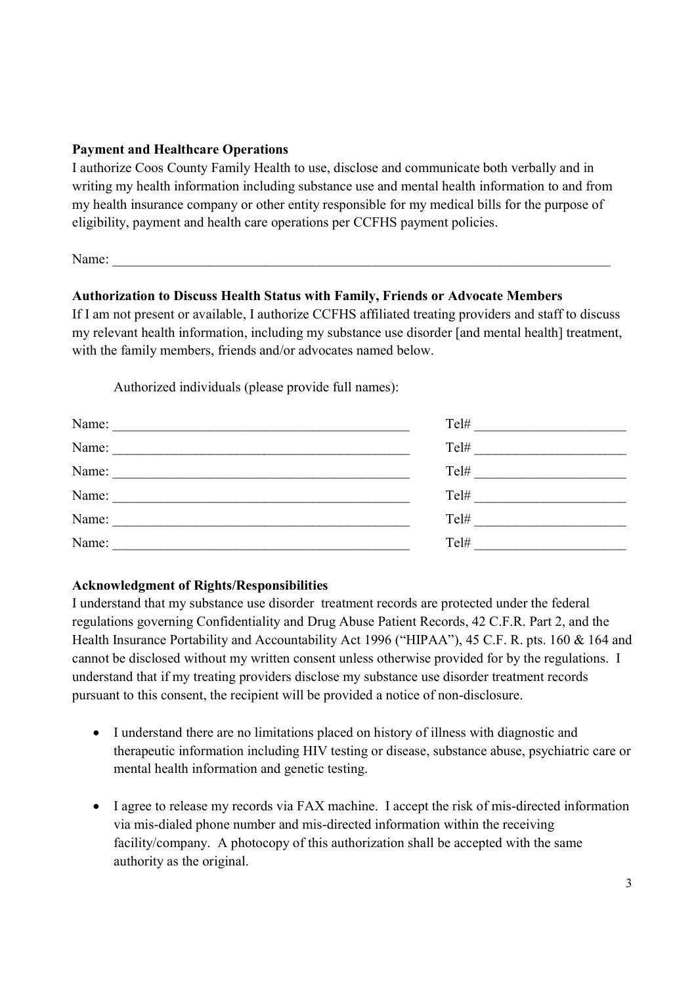#### **Payment and Healthcare Operations**

I authorize Coos County Family Health to use, disclose and communicate both verbally and in writing my health information including substance use and mental health information to and from my health insurance company or other entity responsible for my medical bills for the purpose of eligibility, payment and health care operations per CCFHS payment policies.

Name: \_\_\_\_\_\_\_\_\_\_\_\_\_\_\_\_\_\_\_\_\_\_\_\_\_\_\_\_\_\_\_\_\_\_\_\_\_\_\_\_\_\_\_\_\_\_\_\_\_\_\_\_\_\_\_\_\_\_\_\_\_\_\_\_\_\_\_\_\_\_\_\_

### **Authorization to Discuss Health Status with Family, Friends or Advocate Members**

If I am not present or available, I authorize CCFHS affiliated treating providers and staff to discuss my relevant health information, including my substance use disorder [and mental health] treatment, with the family members, friends and/or advocates named below.

Authorized individuals (please provide full names):

| Name: | Tel# |
|-------|------|
| Name: | Tel# |
| Name: | Tel# |
| Name: | Tel# |
| Name: | Tel# |
| Name: | Tel# |

#### **Acknowledgment of Rights/Responsibilities**

I understand that my substance use disorder treatment records are protected under the federal regulations governing Confidentiality and Drug Abuse Patient Records, 42 C.F.R. Part 2, and the Health Insurance Portability and Accountability Act 1996 ("HIPAA"), 45 C.F. R. pts. 160 & 164 and cannot be disclosed without my written consent unless otherwise provided for by the regulations. I understand that if my treating providers disclose my substance use disorder treatment records pursuant to this consent, the recipient will be provided a notice of non-disclosure.

- I understand there are no limitations placed on history of illness with diagnostic and therapeutic information including HIV testing or disease, substance abuse, psychiatric care or mental health information and genetic testing.
- I agree to release my records via FAX machine. I accept the risk of mis-directed information via mis-dialed phone number and mis-directed information within the receiving facility/company. A photocopy of this authorization shall be accepted with the same authority as the original.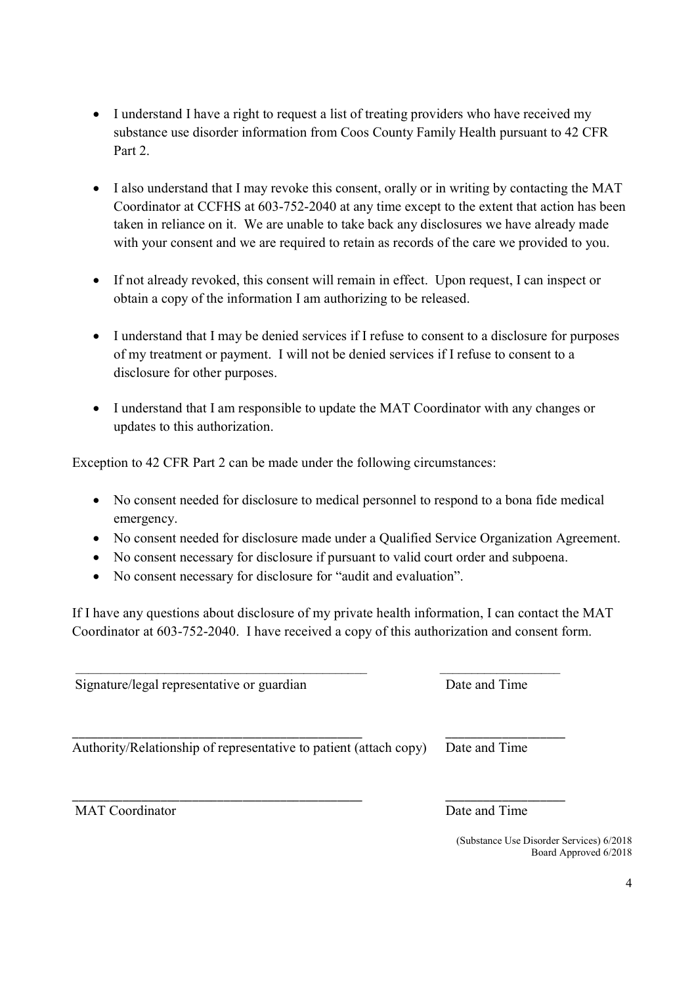- I understand I have a right to request a list of treating providers who have received my substance use disorder information from Coos County Family Health pursuant to 42 CFR Part 2
- I also understand that I may revoke this consent, orally or in writing by contacting the MAT Coordinator at CCFHS at 603-752-2040 at any time except to the extent that action has been taken in reliance on it. We are unable to take back any disclosures we have already made with your consent and we are required to retain as records of the care we provided to you.
- If not already revoked, this consent will remain in effect. Upon request, I can inspect or obtain a copy of the information I am authorizing to be released.
- I understand that I may be denied services if I refuse to consent to a disclosure for purposes of my treatment or payment. I will not be denied services if I refuse to consent to a disclosure for other purposes.
- I understand that I am responsible to update the MAT Coordinator with any changes or updates to this authorization.

Exception to 42 CFR Part 2 can be made under the following circumstances:

- No consent needed for disclosure to medical personnel to respond to a bona fide medical emergency.
- No consent needed for disclosure made under a Qualified Service Organization Agreement.
- No consent necessary for disclosure if pursuant to valid court order and subpoena.
- No consent necessary for disclosure for "audit and evaluation".

If I have any questions about disclosure of my private health information, I can contact the MAT Coordinator at 603-752-2040. I have received a copy of this authorization and consent form.

 $\mathcal{L}_\mathcal{L} = \{ \mathcal{L}_\mathcal{L} = \{ \mathcal{L}_\mathcal{L} = \{ \mathcal{L}_\mathcal{L} = \{ \mathcal{L}_\mathcal{L} = \{ \mathcal{L}_\mathcal{L} = \{ \mathcal{L}_\mathcal{L} = \{ \mathcal{L}_\mathcal{L} = \{ \mathcal{L}_\mathcal{L} = \{ \mathcal{L}_\mathcal{L} = \{ \mathcal{L}_\mathcal{L} = \{ \mathcal{L}_\mathcal{L} = \{ \mathcal{L}_\mathcal{L} = \{ \mathcal{L}_\mathcal{L} = \{ \mathcal{L}_\mathcal{$ 

Signature/legal representative or guardian Date and Time

Authority/Relationship of representative to patient (attach copy) Date and Time

MAT Coordinator Date and Time

\_\_\_\_\_\_\_\_\_\_\_\_\_\_\_\_\_\_\_\_\_\_\_\_\_\_\_\_\_\_\_\_\_\_\_\_\_\_\_\_\_\_\_\_\_\_ \_\_\_\_\_\_\_\_\_\_\_\_\_\_\_\_\_\_\_

(Substance Use Disorder Services) 6/2018 Board Approved 6/2018

\_\_\_\_\_\_\_\_\_\_\_\_\_\_\_\_\_\_\_\_\_\_\_\_\_\_\_\_\_\_\_\_\_\_\_\_\_\_\_\_\_\_\_\_\_\_ \_\_\_\_\_\_\_\_\_\_\_\_\_\_\_\_\_\_\_